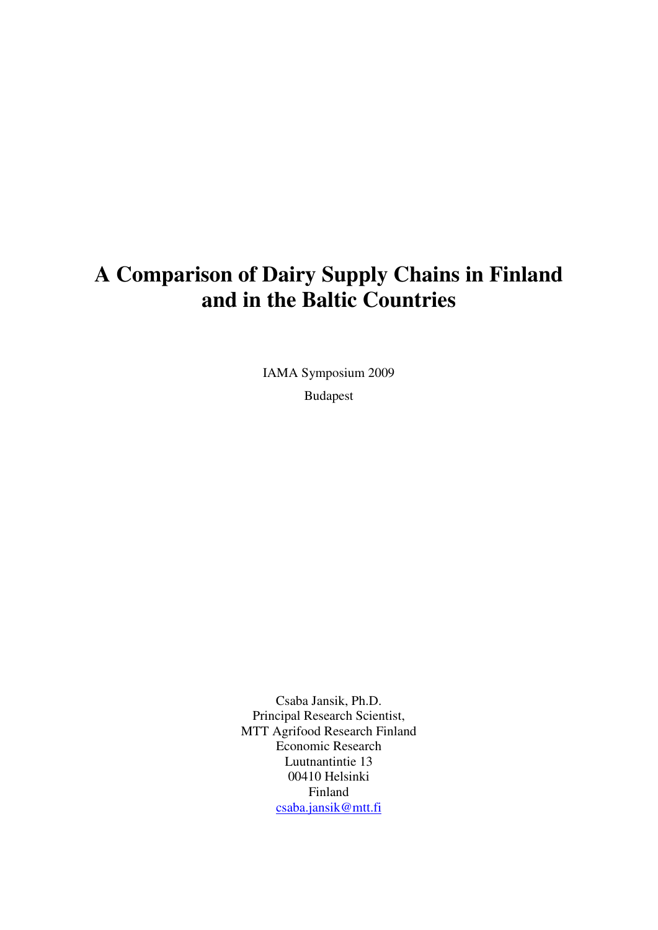# **A Comparison of Dairy Supply Chains in Finland and in the Baltic Countries**

IAMA Symposium 2009

Budapest

Csaba Jansik, Ph.D. Principal Research Scientist, MTT Agrifood Research Finland Economic Research Luutnantintie 13 00410 Helsinki Finland csaba.jansik@mtt.fi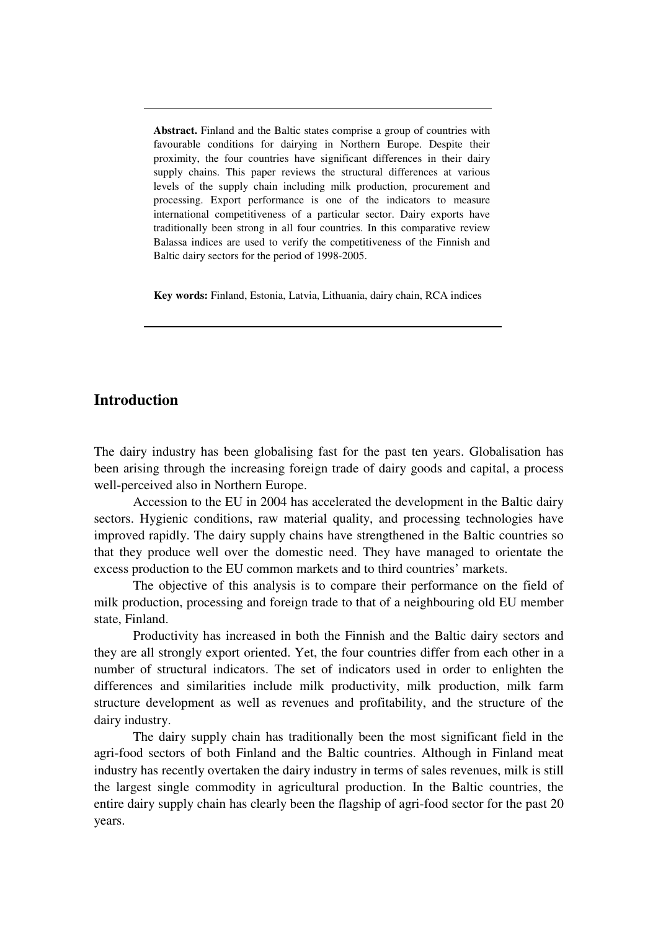**Abstract.** Finland and the Baltic states comprise a group of countries with favourable conditions for dairying in Northern Europe. Despite their proximity, the four countries have significant differences in their dairy supply chains. This paper reviews the structural differences at various levels of the supply chain including milk production, procurement and processing. Export performance is one of the indicators to measure international competitiveness of a particular sector. Dairy exports have traditionally been strong in all four countries. In this comparative review Balassa indices are used to verify the competitiveness of the Finnish and Baltic dairy sectors for the period of 1998-2005.

**Key words:** Finland, Estonia, Latvia, Lithuania, dairy chain, RCA indices

# **Introduction**

The dairy industry has been globalising fast for the past ten years. Globalisation has been arising through the increasing foreign trade of dairy goods and capital, a process well-perceived also in Northern Europe.

Accession to the EU in 2004 has accelerated the development in the Baltic dairy sectors. Hygienic conditions, raw material quality, and processing technologies have improved rapidly. The dairy supply chains have strengthened in the Baltic countries so that they produce well over the domestic need. They have managed to orientate the excess production to the EU common markets and to third countries' markets.

The objective of this analysis is to compare their performance on the field of milk production, processing and foreign trade to that of a neighbouring old EU member state, Finland.

Productivity has increased in both the Finnish and the Baltic dairy sectors and they are all strongly export oriented. Yet, the four countries differ from each other in a number of structural indicators. The set of indicators used in order to enlighten the differences and similarities include milk productivity, milk production, milk farm structure development as well as revenues and profitability, and the structure of the dairy industry.

The dairy supply chain has traditionally been the most significant field in the agri-food sectors of both Finland and the Baltic countries. Although in Finland meat industry has recently overtaken the dairy industry in terms of sales revenues, milk is still the largest single commodity in agricultural production. In the Baltic countries, the entire dairy supply chain has clearly been the flagship of agri-food sector for the past 20 years.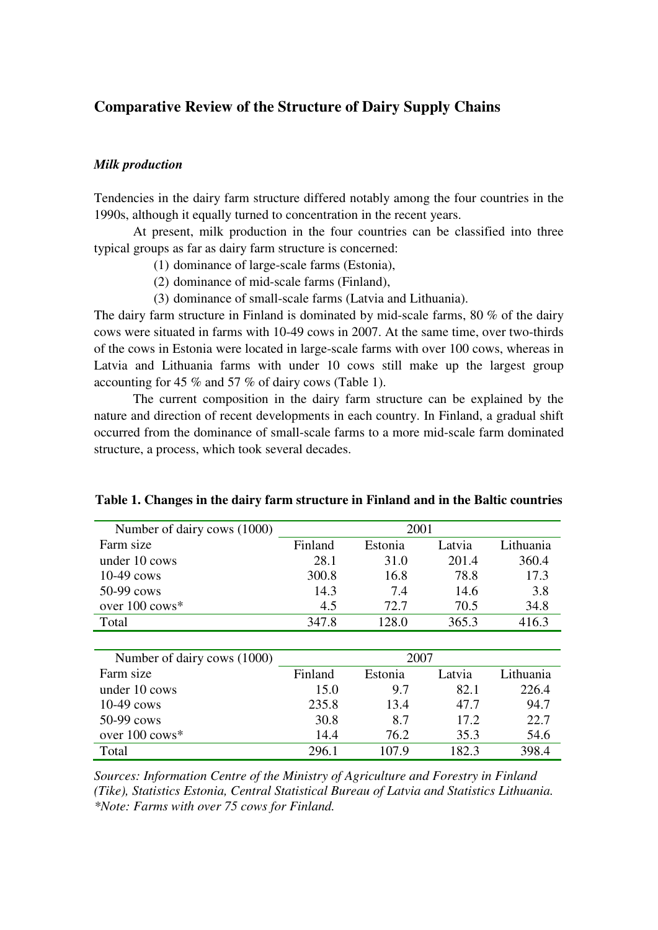# **Comparative Review of the Structure of Dairy Supply Chains**

### *Milk production*

Tendencies in the dairy farm structure differed notably among the four countries in the 1990s, although it equally turned to concentration in the recent years.

At present, milk production in the four countries can be classified into three typical groups as far as dairy farm structure is concerned:

- (1) dominance of large-scale farms (Estonia),
- (2) dominance of mid-scale farms (Finland),
- (3) dominance of small-scale farms (Latvia and Lithuania).

The dairy farm structure in Finland is dominated by mid-scale farms, 80 % of the dairy cows were situated in farms with 10-49 cows in 2007. At the same time, over two-thirds of the cows in Estonia were located in large-scale farms with over 100 cows, whereas in Latvia and Lithuania farms with under 10 cows still make up the largest group accounting for 45 % and 57 % of dairy cows (Table 1).

The current composition in the dairy farm structure can be explained by the nature and direction of recent developments in each country. In Finland, a gradual shift occurred from the dominance of small-scale farms to a more mid-scale farm dominated structure, a process, which took several decades.

| Number of dairy cows (1000) | 2001    |         |        |           |  |  |  |
|-----------------------------|---------|---------|--------|-----------|--|--|--|
| Farm size                   | Finland | Estonia | Latvia | Lithuania |  |  |  |
| under 10 cows               | 28.1    | 31.0    | 201.4  | 360.4     |  |  |  |
| $10-49$ cows                | 300.8   | 16.8    | 78.8   | 17.3      |  |  |  |
| 50-99 cows                  | 14.3    | 7.4     | 14.6   | 3.8       |  |  |  |
| over 100 cows*              | 4.5     | 72.7    | 70.5   | 34.8      |  |  |  |
| Total                       | 347.8   | 128.0   | 365.3  | 416.3     |  |  |  |
|                             |         |         |        |           |  |  |  |
| Number of dairy cows (1000) | 2007    |         |        |           |  |  |  |
| Farm size                   | Finland | Estonia | Latvia | Lithuania |  |  |  |
| under 10 cows               | 15.0    | 9.7     | 82.1   | 226.4     |  |  |  |
| $10-49$ cows                | 235.8   | 13.4    | 47.7   | 94.7      |  |  |  |
| 50-99 cows                  | 30.8    | 8.7     | 17.2   | 22.7      |  |  |  |
| over 100 cows*              | 14.4    | 76.2    | 35.3   | 54.6      |  |  |  |
| Total                       | 296.1   | 107.9   | 182.3  | 398.4     |  |  |  |

#### **Table 1. Changes in the dairy farm structure in Finland and in the Baltic countries**

*Sources: Information Centre of the Ministry of Agriculture and Forestry in Finland (Tike), Statistics Estonia, Central Statistical Bureau of Latvia and Statistics Lithuania. \*Note: Farms with over 75 cows for Finland.*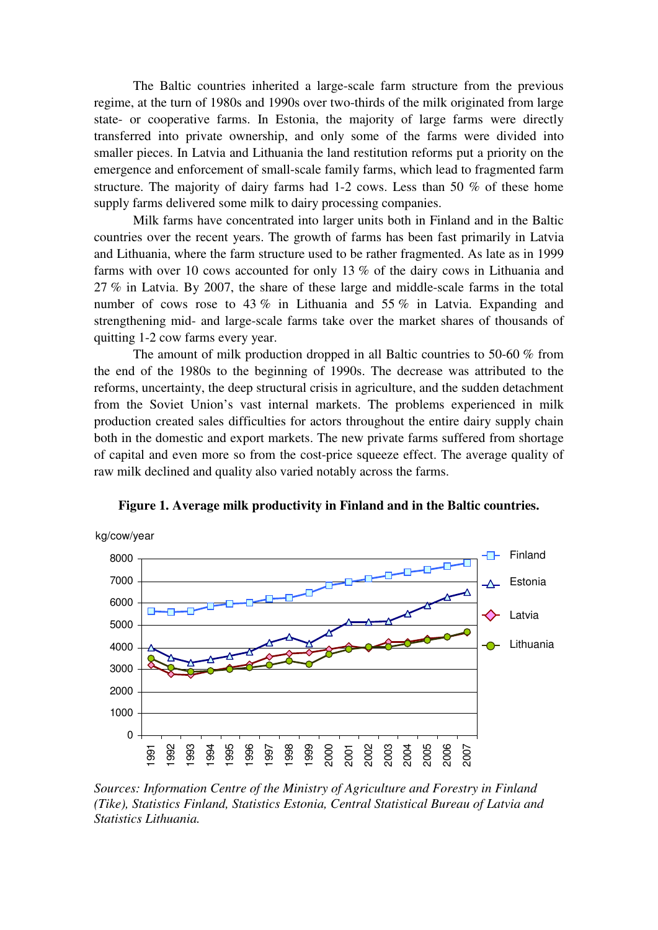The Baltic countries inherited a large-scale farm structure from the previous regime, at the turn of 1980s and 1990s over two-thirds of the milk originated from large state- or cooperative farms. In Estonia, the majority of large farms were directly transferred into private ownership, and only some of the farms were divided into smaller pieces. In Latvia and Lithuania the land restitution reforms put a priority on the emergence and enforcement of small-scale family farms, which lead to fragmented farm structure. The majority of dairy farms had 1-2 cows. Less than 50 % of these home supply farms delivered some milk to dairy processing companies.

Milk farms have concentrated into larger units both in Finland and in the Baltic countries over the recent years. The growth of farms has been fast primarily in Latvia and Lithuania, where the farm structure used to be rather fragmented. As late as in 1999 farms with over 10 cows accounted for only 13 % of the dairy cows in Lithuania and 27 % in Latvia. By 2007, the share of these large and middle-scale farms in the total number of cows rose to 43 % in Lithuania and 55 % in Latvia. Expanding and strengthening mid- and large-scale farms take over the market shares of thousands of quitting 1-2 cow farms every year.

The amount of milk production dropped in all Baltic countries to 50-60 % from the end of the 1980s to the beginning of 1990s. The decrease was attributed to the reforms, uncertainty, the deep structural crisis in agriculture, and the sudden detachment from the Soviet Union's vast internal markets. The problems experienced in milk production created sales difficulties for actors throughout the entire dairy supply chain both in the domestic and export markets. The new private farms suffered from shortage of capital and even more so from the cost-price squeeze effect. The average quality of raw milk declined and quality also varied notably across the farms.



**Figure 1. Average milk productivity in Finland and in the Baltic countries.** 

*Sources: Information Centre of the Ministry of Agriculture and Forestry in Finland (Tike), Statistics Finland, Statistics Estonia, Central Statistical Bureau of Latvia and Statistics Lithuania.*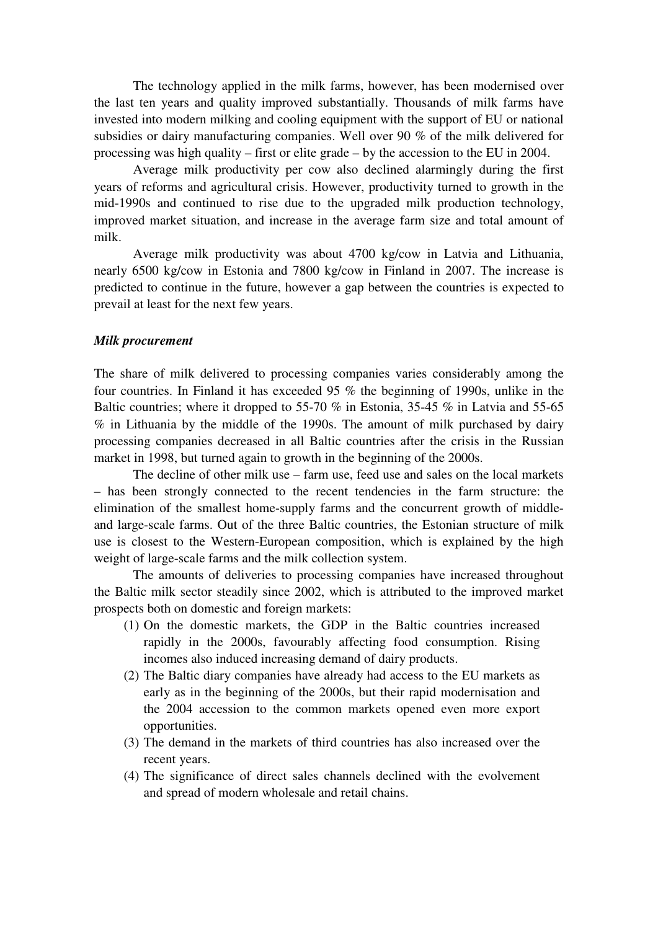The technology applied in the milk farms, however, has been modernised over the last ten years and quality improved substantially. Thousands of milk farms have invested into modern milking and cooling equipment with the support of EU or national subsidies or dairy manufacturing companies. Well over 90 % of the milk delivered for processing was high quality – first or elite grade – by the accession to the EU in 2004.

Average milk productivity per cow also declined alarmingly during the first years of reforms and agricultural crisis. However, productivity turned to growth in the mid-1990s and continued to rise due to the upgraded milk production technology, improved market situation, and increase in the average farm size and total amount of milk.

Average milk productivity was about 4700 kg/cow in Latvia and Lithuania, nearly 6500 kg/cow in Estonia and 7800 kg/cow in Finland in 2007. The increase is predicted to continue in the future, however a gap between the countries is expected to prevail at least for the next few years.

#### *Milk procurement*

The share of milk delivered to processing companies varies considerably among the four countries. In Finland it has exceeded 95 % the beginning of 1990s, unlike in the Baltic countries; where it dropped to 55-70 % in Estonia, 35-45 % in Latvia and 55-65 % in Lithuania by the middle of the 1990s. The amount of milk purchased by dairy processing companies decreased in all Baltic countries after the crisis in the Russian market in 1998, but turned again to growth in the beginning of the 2000s.

The decline of other milk use – farm use, feed use and sales on the local markets – has been strongly connected to the recent tendencies in the farm structure: the elimination of the smallest home-supply farms and the concurrent growth of middleand large-scale farms. Out of the three Baltic countries, the Estonian structure of milk use is closest to the Western-European composition, which is explained by the high weight of large-scale farms and the milk collection system.

The amounts of deliveries to processing companies have increased throughout the Baltic milk sector steadily since 2002, which is attributed to the improved market prospects both on domestic and foreign markets:

- (1) On the domestic markets, the GDP in the Baltic countries increased rapidly in the 2000s, favourably affecting food consumption. Rising incomes also induced increasing demand of dairy products.
- (2) The Baltic diary companies have already had access to the EU markets as early as in the beginning of the 2000s, but their rapid modernisation and the 2004 accession to the common markets opened even more export opportunities.
- (3) The demand in the markets of third countries has also increased over the recent years.
- (4) The significance of direct sales channels declined with the evolvement and spread of modern wholesale and retail chains.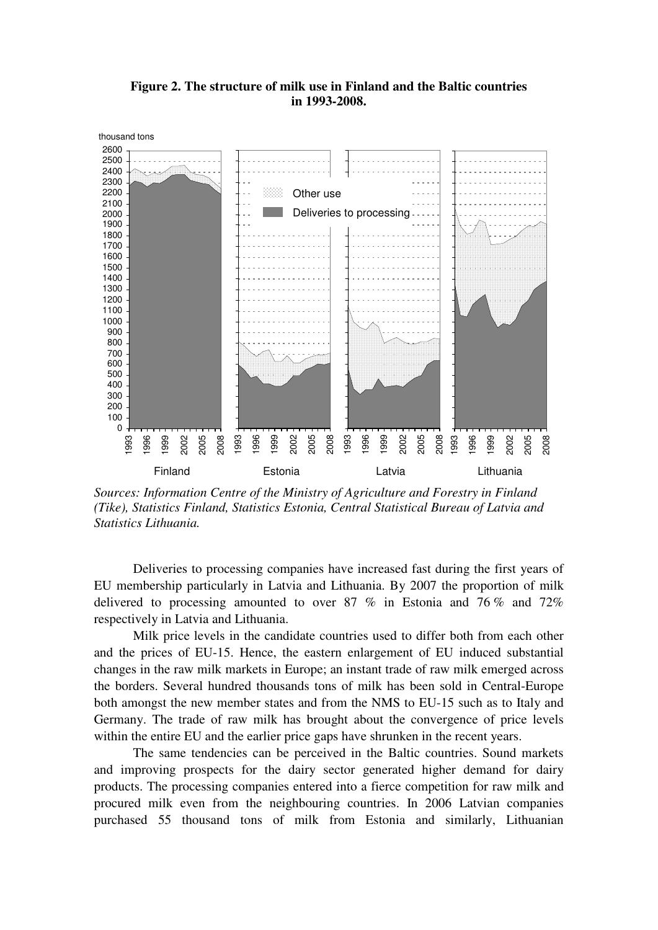## **Figure 2. The structure of milk use in Finland and the Baltic countries in 1993-2008.**



*Sources: Information Centre of the Ministry of Agriculture and Forestry in Finland (Tike), Statistics Finland, Statistics Estonia, Central Statistical Bureau of Latvia and Statistics Lithuania.* 

Deliveries to processing companies have increased fast during the first years of EU membership particularly in Latvia and Lithuania. By 2007 the proportion of milk delivered to processing amounted to over 87 % in Estonia and 76 % and 72% respectively in Latvia and Lithuania.

Milk price levels in the candidate countries used to differ both from each other and the prices of EU-15. Hence, the eastern enlargement of EU induced substantial changes in the raw milk markets in Europe; an instant trade of raw milk emerged across the borders. Several hundred thousands tons of milk has been sold in Central-Europe both amongst the new member states and from the NMS to EU-15 such as to Italy and Germany. The trade of raw milk has brought about the convergence of price levels within the entire EU and the earlier price gaps have shrunken in the recent years.

The same tendencies can be perceived in the Baltic countries. Sound markets and improving prospects for the dairy sector generated higher demand for dairy products. The processing companies entered into a fierce competition for raw milk and procured milk even from the neighbouring countries. In 2006 Latvian companies purchased 55 thousand tons of milk from Estonia and similarly, Lithuanian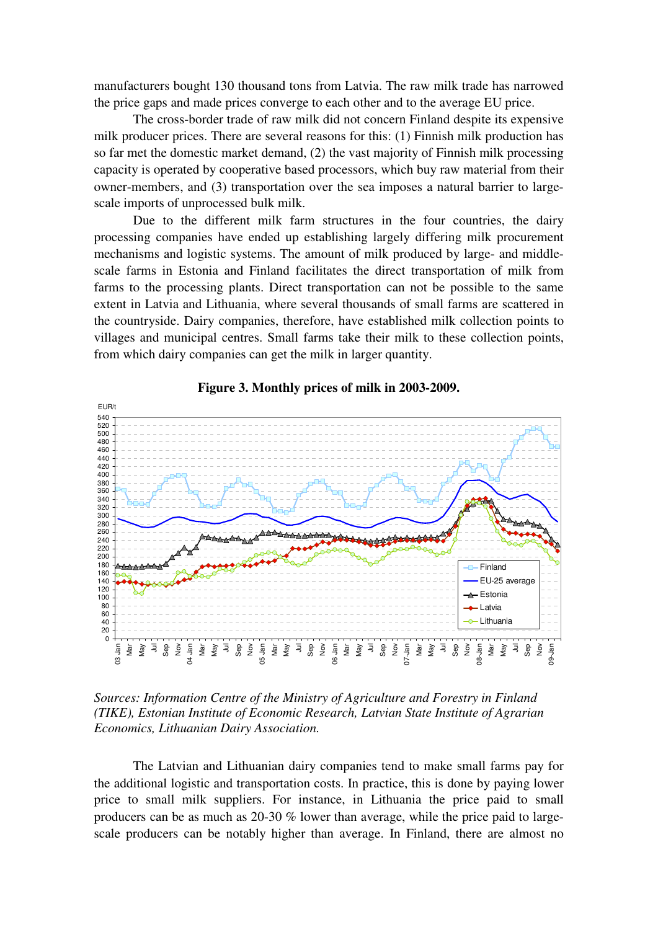manufacturers bought 130 thousand tons from Latvia. The raw milk trade has narrowed the price gaps and made prices converge to each other and to the average EU price.

The cross-border trade of raw milk did not concern Finland despite its expensive milk producer prices. There are several reasons for this: (1) Finnish milk production has so far met the domestic market demand, (2) the vast majority of Finnish milk processing capacity is operated by cooperative based processors, which buy raw material from their owner-members, and (3) transportation over the sea imposes a natural barrier to largescale imports of unprocessed bulk milk.

Due to the different milk farm structures in the four countries, the dairy processing companies have ended up establishing largely differing milk procurement mechanisms and logistic systems. The amount of milk produced by large- and middlescale farms in Estonia and Finland facilitates the direct transportation of milk from farms to the processing plants. Direct transportation can not be possible to the same extent in Latvia and Lithuania, where several thousands of small farms are scattered in the countryside. Dairy companies, therefore, have established milk collection points to villages and municipal centres. Small farms take their milk to these collection points, from which dairy companies can get the milk in larger quantity.



#### **Figure 3. Monthly prices of milk in 2003-2009.**

*Sources: Information Centre of the Ministry of Agriculture and Forestry in Finland (TIKE), Estonian Institute of Economic Research, Latvian State Institute of Agrarian Economics, Lithuanian Dairy Association.* 

The Latvian and Lithuanian dairy companies tend to make small farms pay for the additional logistic and transportation costs. In practice, this is done by paying lower price to small milk suppliers. For instance, in Lithuania the price paid to small producers can be as much as 20-30 % lower than average, while the price paid to largescale producers can be notably higher than average. In Finland, there are almost no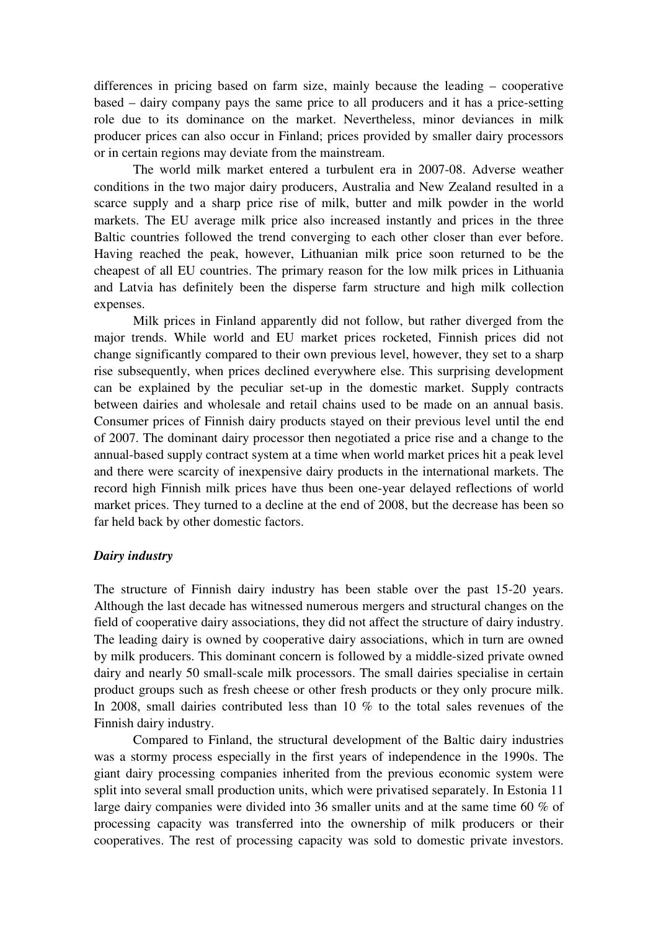differences in pricing based on farm size, mainly because the leading – cooperative based – dairy company pays the same price to all producers and it has a price-setting role due to its dominance on the market. Nevertheless, minor deviances in milk producer prices can also occur in Finland; prices provided by smaller dairy processors or in certain regions may deviate from the mainstream.

The world milk market entered a turbulent era in 2007-08. Adverse weather conditions in the two major dairy producers, Australia and New Zealand resulted in a scarce supply and a sharp price rise of milk, butter and milk powder in the world markets. The EU average milk price also increased instantly and prices in the three Baltic countries followed the trend converging to each other closer than ever before. Having reached the peak, however, Lithuanian milk price soon returned to be the cheapest of all EU countries. The primary reason for the low milk prices in Lithuania and Latvia has definitely been the disperse farm structure and high milk collection expenses.

Milk prices in Finland apparently did not follow, but rather diverged from the major trends. While world and EU market prices rocketed, Finnish prices did not change significantly compared to their own previous level, however, they set to a sharp rise subsequently, when prices declined everywhere else. This surprising development can be explained by the peculiar set-up in the domestic market. Supply contracts between dairies and wholesale and retail chains used to be made on an annual basis. Consumer prices of Finnish dairy products stayed on their previous level until the end of 2007. The dominant dairy processor then negotiated a price rise and a change to the annual-based supply contract system at a time when world market prices hit a peak level and there were scarcity of inexpensive dairy products in the international markets. The record high Finnish milk prices have thus been one-year delayed reflections of world market prices. They turned to a decline at the end of 2008, but the decrease has been so far held back by other domestic factors.

## *Dairy industry*

The structure of Finnish dairy industry has been stable over the past 15-20 years. Although the last decade has witnessed numerous mergers and structural changes on the field of cooperative dairy associations, they did not affect the structure of dairy industry. The leading dairy is owned by cooperative dairy associations, which in turn are owned by milk producers. This dominant concern is followed by a middle-sized private owned dairy and nearly 50 small-scale milk processors. The small dairies specialise in certain product groups such as fresh cheese or other fresh products or they only procure milk. In 2008, small dairies contributed less than 10 % to the total sales revenues of the Finnish dairy industry.

Compared to Finland, the structural development of the Baltic dairy industries was a stormy process especially in the first years of independence in the 1990s. The giant dairy processing companies inherited from the previous economic system were split into several small production units, which were privatised separately. In Estonia 11 large dairy companies were divided into 36 smaller units and at the same time 60 % of processing capacity was transferred into the ownership of milk producers or their cooperatives. The rest of processing capacity was sold to domestic private investors.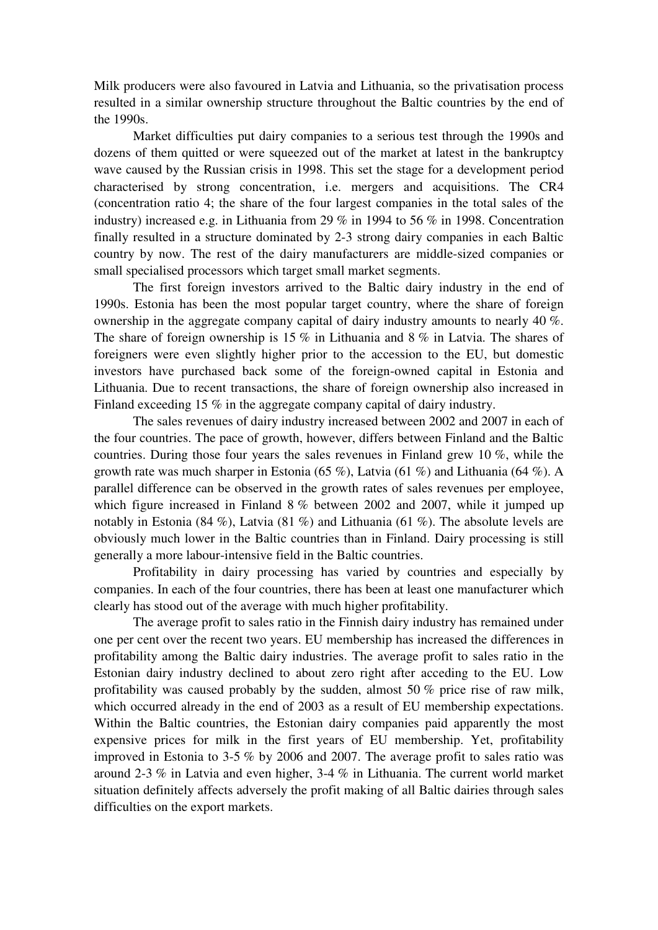Milk producers were also favoured in Latvia and Lithuania, so the privatisation process resulted in a similar ownership structure throughout the Baltic countries by the end of the 1990s.

Market difficulties put dairy companies to a serious test through the 1990s and dozens of them quitted or were squeezed out of the market at latest in the bankruptcy wave caused by the Russian crisis in 1998. This set the stage for a development period characterised by strong concentration, i.e. mergers and acquisitions. The CR4 (concentration ratio 4; the share of the four largest companies in the total sales of the industry) increased e.g. in Lithuania from 29 % in 1994 to 56 % in 1998. Concentration finally resulted in a structure dominated by 2-3 strong dairy companies in each Baltic country by now. The rest of the dairy manufacturers are middle-sized companies or small specialised processors which target small market segments.

The first foreign investors arrived to the Baltic dairy industry in the end of 1990s. Estonia has been the most popular target country, where the share of foreign ownership in the aggregate company capital of dairy industry amounts to nearly 40 %. The share of foreign ownership is 15 % in Lithuania and 8 % in Latvia. The shares of foreigners were even slightly higher prior to the accession to the EU, but domestic investors have purchased back some of the foreign-owned capital in Estonia and Lithuania. Due to recent transactions, the share of foreign ownership also increased in Finland exceeding 15 % in the aggregate company capital of dairy industry.

The sales revenues of dairy industry increased between 2002 and 2007 in each of the four countries. The pace of growth, however, differs between Finland and the Baltic countries. During those four years the sales revenues in Finland grew 10 %, while the growth rate was much sharper in Estonia (65 %), Latvia (61 %) and Lithuania (64 %). A parallel difference can be observed in the growth rates of sales revenues per employee, which figure increased in Finland 8 % between 2002 and 2007, while it jumped up notably in Estonia (84 %), Latvia (81 %) and Lithuania (61 %). The absolute levels are obviously much lower in the Baltic countries than in Finland. Dairy processing is still generally a more labour-intensive field in the Baltic countries.

Profitability in dairy processing has varied by countries and especially by companies. In each of the four countries, there has been at least one manufacturer which clearly has stood out of the average with much higher profitability.

The average profit to sales ratio in the Finnish dairy industry has remained under one per cent over the recent two years. EU membership has increased the differences in profitability among the Baltic dairy industries. The average profit to sales ratio in the Estonian dairy industry declined to about zero right after acceding to the EU. Low profitability was caused probably by the sudden, almost 50 % price rise of raw milk, which occurred already in the end of 2003 as a result of EU membership expectations. Within the Baltic countries, the Estonian dairy companies paid apparently the most expensive prices for milk in the first years of EU membership. Yet, profitability improved in Estonia to 3-5 % by 2006 and 2007. The average profit to sales ratio was around 2-3 % in Latvia and even higher, 3-4 % in Lithuania. The current world market situation definitely affects adversely the profit making of all Baltic dairies through sales difficulties on the export markets.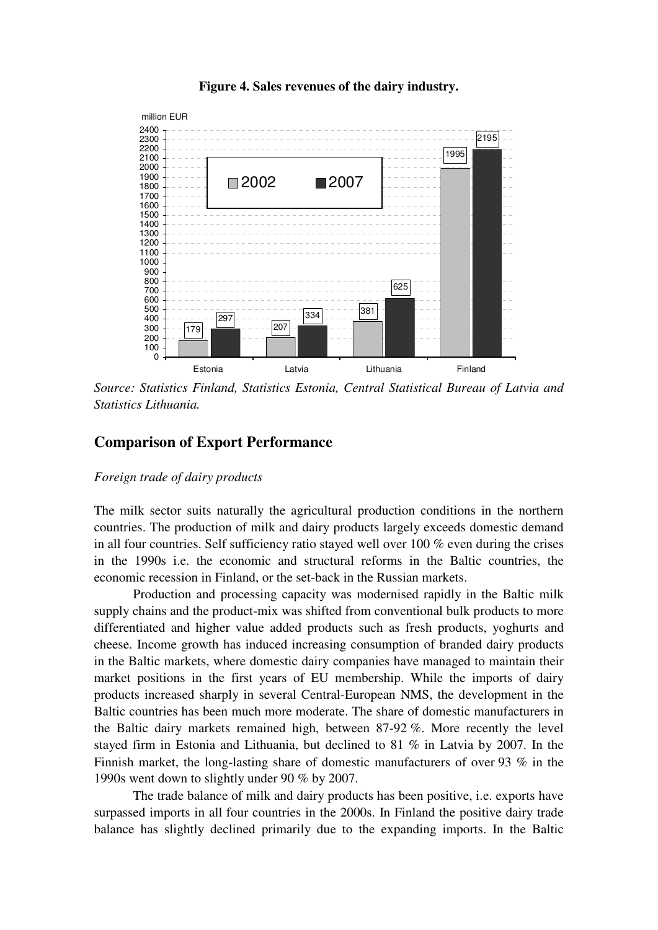

**Figure 4. Sales revenues of the dairy industry.** 

*Source: Statistics Finland, Statistics Estonia, Central Statistical Bureau of Latvia and Statistics Lithuania.* 

## **Comparison of Export Performance**

#### *Foreign trade of dairy products*

The milk sector suits naturally the agricultural production conditions in the northern countries. The production of milk and dairy products largely exceeds domestic demand in all four countries. Self sufficiency ratio stayed well over 100 % even during the crises in the 1990s i.e. the economic and structural reforms in the Baltic countries, the economic recession in Finland, or the set-back in the Russian markets.

Production and processing capacity was modernised rapidly in the Baltic milk supply chains and the product-mix was shifted from conventional bulk products to more differentiated and higher value added products such as fresh products, yoghurts and cheese. Income growth has induced increasing consumption of branded dairy products in the Baltic markets, where domestic dairy companies have managed to maintain their market positions in the first years of EU membership. While the imports of dairy products increased sharply in several Central-European NMS, the development in the Baltic countries has been much more moderate. The share of domestic manufacturers in the Baltic dairy markets remained high, between 87-92 %. More recently the level stayed firm in Estonia and Lithuania, but declined to 81 % in Latvia by 2007. In the Finnish market, the long-lasting share of domestic manufacturers of over 93 % in the 1990s went down to slightly under 90 % by 2007.

The trade balance of milk and dairy products has been positive, i.e. exports have surpassed imports in all four countries in the 2000s. In Finland the positive dairy trade balance has slightly declined primarily due to the expanding imports. In the Baltic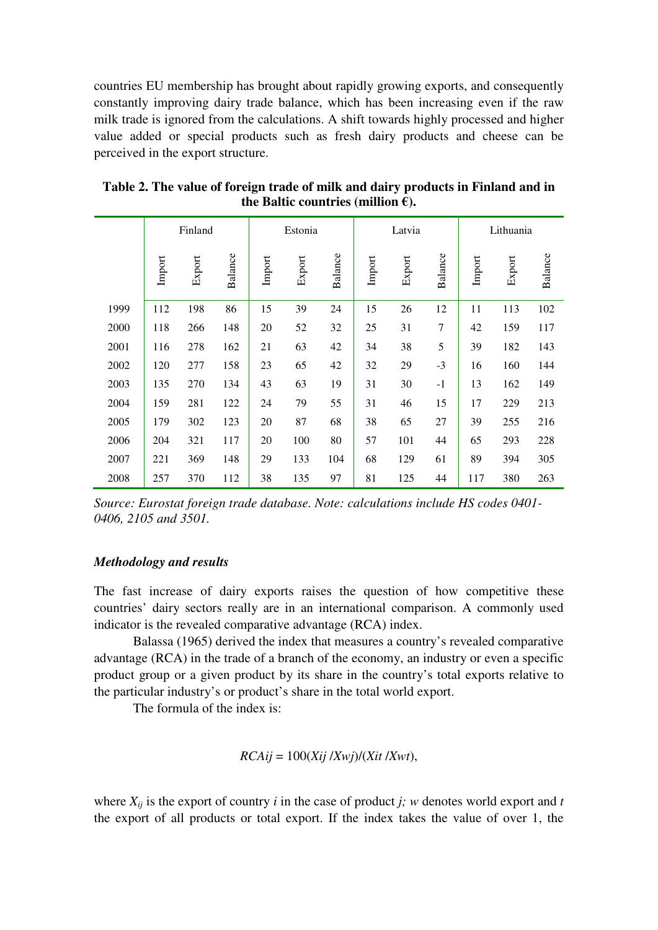countries EU membership has brought about rapidly growing exports, and consequently constantly improving dairy trade balance, which has been increasing even if the raw milk trade is ignored from the calculations. A shift towards highly processed and higher value added or special products such as fresh dairy products and cheese can be perceived in the export structure.

|      | Finland |        |         | Estonia |        |         | Latvia |        |         | Lithuania |        |         |
|------|---------|--------|---------|---------|--------|---------|--------|--------|---------|-----------|--------|---------|
|      | Import  | Export | Balance | Import  | Export | Balance | Import | Export | Balance | Import    | Export | Balance |
| 1999 | 112     | 198    | 86      | 15      | 39     | 24      | 15     | 26     | 12      | 11        | 113    | 102     |
| 2000 | 118     | 266    | 148     | 20      | 52     | 32      | 25     | 31     | 7       | 42        | 159    | 117     |
| 2001 | 116     | 278    | 162     | 21      | 63     | 42      | 34     | 38     | 5       | 39        | 182    | 143     |
| 2002 | 120     | 277    | 158     | 23      | 65     | 42      | 32     | 29     | $-3$    | 16        | 160    | 144     |
| 2003 | 135     | 270    | 134     | 43      | 63     | 19      | 31     | 30     | $-1$    | 13        | 162    | 149     |
| 2004 | 159     | 281    | 122     | 24      | 79     | 55      | 31     | 46     | 15      | 17        | 229    | 213     |
| 2005 | 179     | 302    | 123     | 20      | 87     | 68      | 38     | 65     | 27      | 39        | 255    | 216     |
| 2006 | 204     | 321    | 117     | 20      | 100    | 80      | 57     | 101    | 44      | 65        | 293    | 228     |
| 2007 | 221     | 369    | 148     | 29      | 133    | 104     | 68     | 129    | 61      | 89        | 394    | 305     |
| 2008 | 257     | 370    | 112     | 38      | 135    | 97      | 81     | 125    | 44      | 117       | 380    | 263     |

**Table 2. The value of foreign trade of milk and dairy products in Finland and in**  the Baltic countries (million  $\epsilon$ ).

*Source: Eurostat foreign trade database. Note: calculations include HS codes 0401- 0406, 2105 and 3501.* 

## *Methodology and results*

The fast increase of dairy exports raises the question of how competitive these countries' dairy sectors really are in an international comparison. A commonly used indicator is the revealed comparative advantage (RCA) index.

Balassa (1965) derived the index that measures a country's revealed comparative advantage (RCA) in the trade of a branch of the economy, an industry or even a specific product group or a given product by its share in the country's total exports relative to the particular industry's or product's share in the total world export.

The formula of the index is:

$$
RCAij = 100(Xij/Xwj)/(Xit/Xwt),
$$

where  $X_{ij}$  is the export of country *i* in the case of product *j*; w denotes world export and *t* the export of all products or total export. If the index takes the value of over 1, the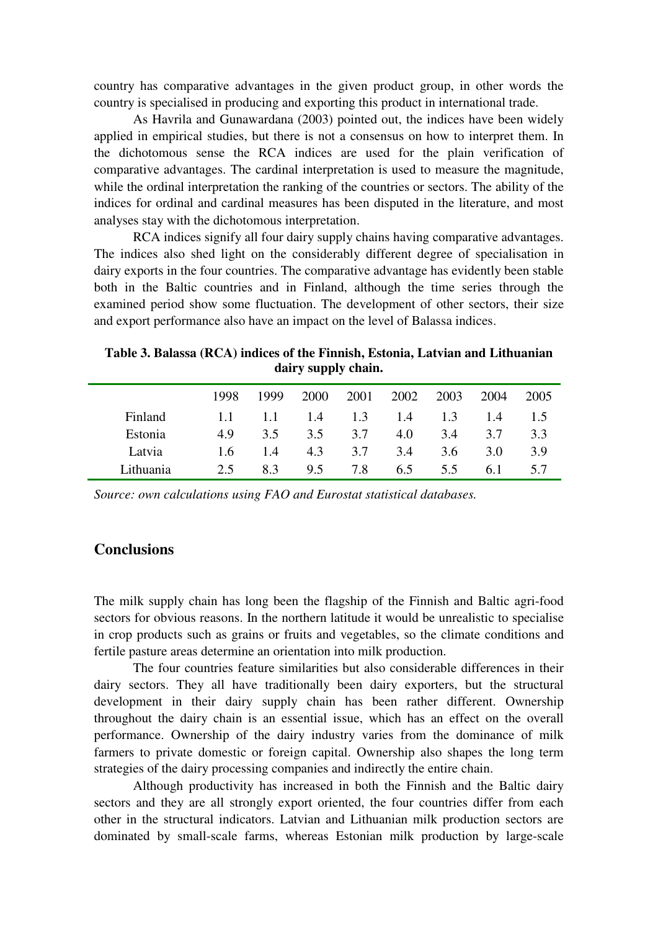country has comparative advantages in the given product group, in other words the country is specialised in producing and exporting this product in international trade.

As Havrila and Gunawardana (2003) pointed out, the indices have been widely applied in empirical studies, but there is not a consensus on how to interpret them. In the dichotomous sense the RCA indices are used for the plain verification of comparative advantages. The cardinal interpretation is used to measure the magnitude, while the ordinal interpretation the ranking of the countries or sectors. The ability of the indices for ordinal and cardinal measures has been disputed in the literature, and most analyses stay with the dichotomous interpretation.

RCA indices signify all four dairy supply chains having comparative advantages. The indices also shed light on the considerably different degree of specialisation in dairy exports in the four countries. The comparative advantage has evidently been stable both in the Baltic countries and in Finland, although the time series through the examined period show some fluctuation. The development of other sectors, their size and export performance also have an impact on the level of Balassa indices.

**Table 3. Balassa (RCA) indices of the Finnish, Estonia, Latvian and Lithuanian dairy supply chain.** 

|           | 1998 | 1999 | 2000          | 2001 | 2002 | 2003 | 2004 | 2005 |
|-----------|------|------|---------------|------|------|------|------|------|
| Finland   | 1.1  | 1.1  | 1.4           | 1.3  | 1.4  | 1.3  | 1.4  | 1.5  |
| Estonia   | 49   | 3.5  | $3.5^{\circ}$ | 3.7  | 4.0  | 3.4  | 3.7  | 3.3  |
| Latvia    | 1.6  | 1.4  | 4.3           | 3.7  | 3.4  | 3.6  | 3.0  | 3.9  |
| Lithuania | 2.5  | 83   | $9.5^{\circ}$ | 7.8  | 6.5  | 5.5  | 6.1  | 5.7  |

*Source: own calculations using FAO and Eurostat statistical databases.* 

# **Conclusions**

The milk supply chain has long been the flagship of the Finnish and Baltic agri-food sectors for obvious reasons. In the northern latitude it would be unrealistic to specialise in crop products such as grains or fruits and vegetables, so the climate conditions and fertile pasture areas determine an orientation into milk production.

The four countries feature similarities but also considerable differences in their dairy sectors. They all have traditionally been dairy exporters, but the structural development in their dairy supply chain has been rather different. Ownership throughout the dairy chain is an essential issue, which has an effect on the overall performance. Ownership of the dairy industry varies from the dominance of milk farmers to private domestic or foreign capital. Ownership also shapes the long term strategies of the dairy processing companies and indirectly the entire chain.

Although productivity has increased in both the Finnish and the Baltic dairy sectors and they are all strongly export oriented, the four countries differ from each other in the structural indicators. Latvian and Lithuanian milk production sectors are dominated by small-scale farms, whereas Estonian milk production by large-scale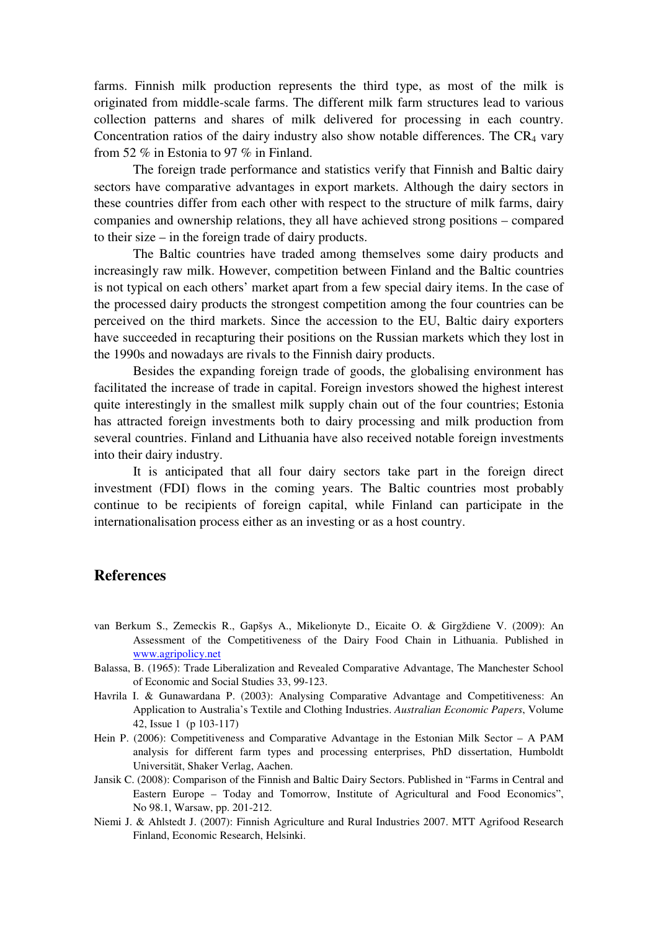farms. Finnish milk production represents the third type, as most of the milk is originated from middle-scale farms. The different milk farm structures lead to various collection patterns and shares of milk delivered for processing in each country. Concentration ratios of the dairy industry also show notable differences. The  $CR_4$  vary from 52 % in Estonia to 97 % in Finland.

The foreign trade performance and statistics verify that Finnish and Baltic dairy sectors have comparative advantages in export markets. Although the dairy sectors in these countries differ from each other with respect to the structure of milk farms, dairy companies and ownership relations, they all have achieved strong positions – compared to their size – in the foreign trade of dairy products.

The Baltic countries have traded among themselves some dairy products and increasingly raw milk. However, competition between Finland and the Baltic countries is not typical on each others' market apart from a few special dairy items. In the case of the processed dairy products the strongest competition among the four countries can be perceived on the third markets. Since the accession to the EU, Baltic dairy exporters have succeeded in recapturing their positions on the Russian markets which they lost in the 1990s and nowadays are rivals to the Finnish dairy products.

Besides the expanding foreign trade of goods, the globalising environment has facilitated the increase of trade in capital. Foreign investors showed the highest interest quite interestingly in the smallest milk supply chain out of the four countries; Estonia has attracted foreign investments both to dairy processing and milk production from several countries. Finland and Lithuania have also received notable foreign investments into their dairy industry.

It is anticipated that all four dairy sectors take part in the foreign direct investment (FDI) flows in the coming years. The Baltic countries most probably continue to be recipients of foreign capital, while Finland can participate in the internationalisation process either as an investing or as a host country.

# **References**

- van Berkum S., Zemeckis R., Gapšys A., Mikelionyte D., Eicaite O. & Girgždiene V. (2009): An Assessment of the Competitiveness of the Dairy Food Chain in Lithuania. Published in www.agripolicy.net
- Balassa, B. (1965): Trade Liberalization and Revealed Comparative Advantage, The Manchester School of Economic and Social Studies 33, 99-123.
- Havrila I. & Gunawardana P. (2003): Analysing Comparative Advantage and Competitiveness: An Application to Australia's Textile and Clothing Industries. *Australian Economic Papers*, Volume 42, Issue 1 (p 103-117)
- Hein P. (2006): Competitiveness and Comparative Advantage in the Estonian Milk Sector A PAM analysis for different farm types and processing enterprises, PhD dissertation, Humboldt Universität, Shaker Verlag, Aachen.
- Jansik C. (2008): Comparison of the Finnish and Baltic Dairy Sectors. Published in "Farms in Central and Eastern Europe – Today and Tomorrow, Institute of Agricultural and Food Economics", No 98.1, Warsaw, pp. 201-212.
- Niemi J. & Ahlstedt J. (2007): Finnish Agriculture and Rural Industries 2007. MTT Agrifood Research Finland, Economic Research, Helsinki.